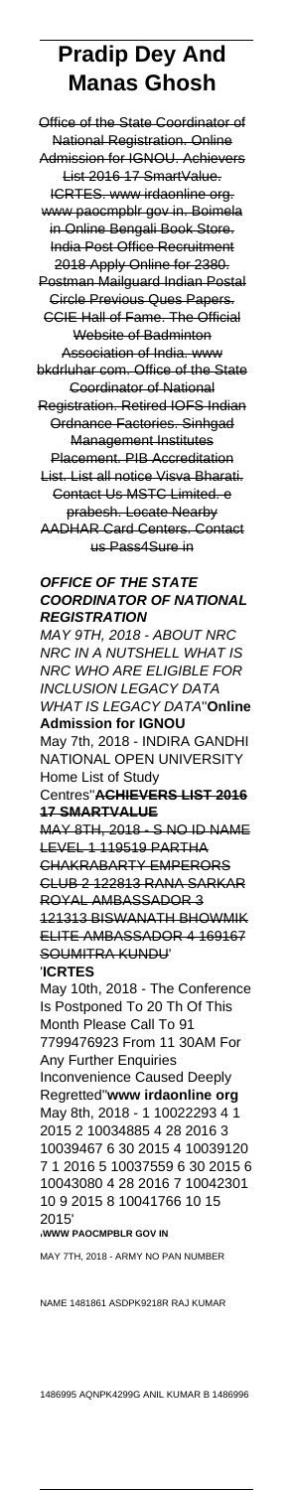# **Pradip Dey And Manas Ghosh**

Office of the State Coordinator of National Registration. Online Admission for IGNOU. Achievers List 2016 17 SmartValue. ICRTES. www irdaonline org. www paocmpblr gov in. Boimela in Online Bengali Book Store. India Post Office Recruitment 2018 Apply Online for 2380. Postman Mailguard Indian Postal Circle Previous Ques Papers. CCIE Hall of Fame. The Official Website of Badminton Association of India. www bkdrluhar com. Office of the State Coordinator of National Registration. Retired IOFS Indian Ordnance Factories. Sinhgad Management Institutes Placement. PIB Accreditation List. List all notice Visva Bharati. Contact Us MSTC Limited. e prabesh. Locate Nearby AADHAR Card Centers. Contact us Pass4Sure in

## **OFFICE OF THE STATE COORDINATOR OF NATIONAL REGISTRATION**

MAY 9TH, 2018 - ABOUT NRC NRC IN A NUTSHELL WHAT IS NRC WHO ARE ELIGIBLE FOR INCLUSION LEGACY DATA WHAT IS LEGACY DATA''**Online Admission for IGNOU** May 7th, 2018 - INDIRA GANDHI NATIONAL OPEN UNIVERSITY Home List of Study Centres''**ACHIEVERS LIST 2016 17 SMARTVALUE** MAY 8TH, 2018 - S NO ID NAME LEVEL 1 119519 PARTHA CHAKRABARTY EMPERORS CLUB 2 122813 RANA SARKAR ROYAL AMBASSADOR 3 121313 BISWANATH BHOWMIK ELITE AMBASSADOR 4 169167 SOUMITRA KUNDU' '**ICRTES** May 10th, 2018 - The Conference Is Postponed To 20 Th Of This Month Please Call To 91 7799476923 From 11 30AM For Any Further Enquiries Inconvenience Caused Deeply Regretted''**www irdaonline org** May 8th, 2018 - 1 10022293 4 1 2015 2 10034885 4 28 2016 3 10039467 6 30 2015 4 10039120 7 1 2016 5 10037559 6 30 2015 6 10043080 4 28 2016 7 10042301 10 9 2015 8 10041766 10 15 2015' '**WWW PAOCMPBLR GOV IN** MAY 7TH, 2018 - ARMY NO PAN NUMBER

NAME 1481861 ASDPK9218R RAJ KUMAR

1486995 AQNPK4299G ANIL KUMAR B 1486996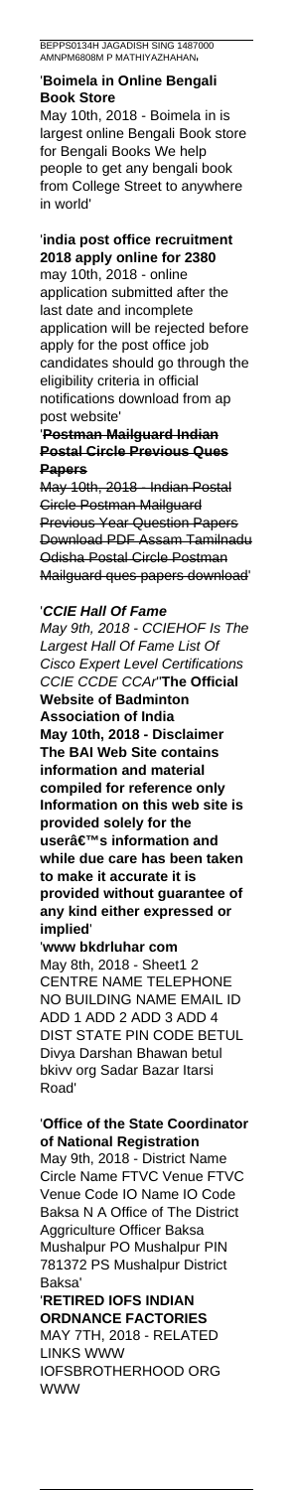### '**Boimela in Online Bengali Book Store**

May 10th, 2018 - Boimela in is largest online Bengali Book store for Bengali Books We help people to get any bengali book from College Street to anywhere in world'

# '**india post office recruitment 2018 apply online for 2380** may 10th, 2018 - online

application submitted after the last date and incomplete application will be rejected before apply for the post office job candidates should go through the eligibility criteria in official notifications download from ap post website'

'**Postman Mailguard Indian Postal Circle Previous Ques Papers**

May 10th, 2018 - Indian Postal Circle Postman Mailguard Previous Year Question Papers Download PDF Assam Tamilnadu Odisha Postal Circle Postman Mailguard ques papers download'

# '**CCIE Hall Of Fame**

May 9th, 2018 - CCIEHOF Is The Largest Hall Of Fame List Of Cisco Expert Level Certifications CCIE CCDE CCAr''**The Official Website of Badminton Association of India May 10th, 2018 - Disclaimer The BAI Web Site contains information and material compiled for reference only Information on this web site is provided solely for the user's information and while due care has been taken to make it accurate it is provided without guarantee of any kind either expressed or implied**'

'**www bkdrluhar com** May 8th, 2018 - Sheet1 2 CENTRE NAME TELEPHONE NO BUILDING NAME EMAIL ID ADD 1 ADD 2 ADD 3 ADD 4 DIST STATE PIN CODE BETUL Divya Darshan Bhawan betul bkivv org Sadar Bazar Itarsi Road'

## '**Office of the State Coordinator of National Registration**

May 9th, 2018 - District Name Circle Name FTVC Venue FTVC Venue Code IO Name IO Code Baksa N A Office of The District Aggriculture Officer Baksa Mushalpur PO Mushalpur PIN 781372 PS Mushalpur District Baksa'

'**RETIRED IOFS INDIAN ORDNANCE FACTORIES** MAY 7TH, 2018 - RELATED LINKS WWW IOFSBROTHERHOOD ORG WWW